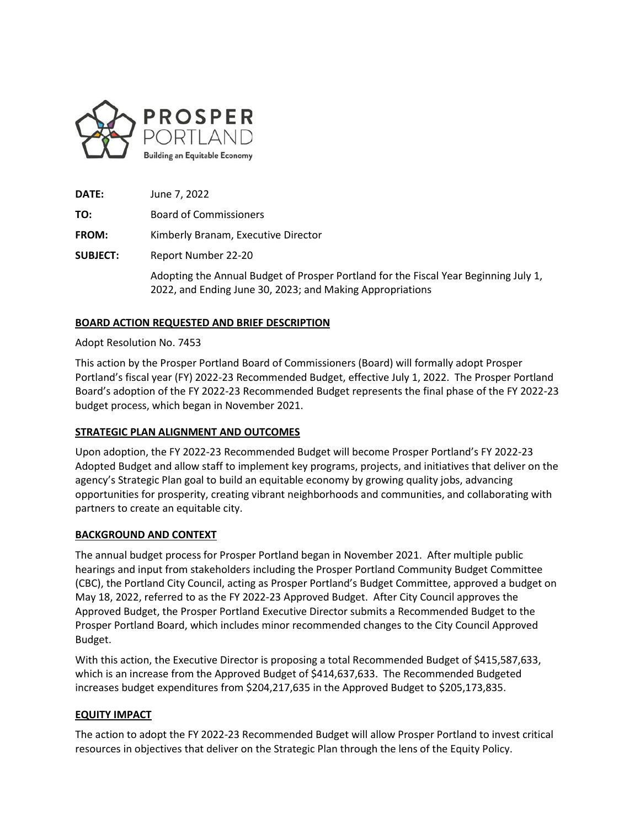

**DATE:** June 7, 2022

**TO:** Board of Commissioners

**FROM:** Kimberly Branam, Executive Director

**SUBJECT:** Report Number 22-20

Adopting the Annual Budget of Prosper Portland for the Fiscal Year Beginning July 1, 2022, and Ending June 30, 2023; and Making Appropriations

# **BOARD ACTION REQUESTED AND BRIEF DESCRIPTION**

#### Adopt Resolution No. 7453

This action by the Prosper Portland Board of Commissioners (Board) will formally adopt Prosper Portland's fiscal year (FY) 2022-23 Recommended Budget, effective July 1, 2022. The Prosper Portland Board's adoption of the FY 2022-23 Recommended Budget represents the final phase of the FY 2022-23 budget process, which began in November 2021.

### **STRATEGIC PLAN ALIGNMENT AND OUTCOMES**

Upon adoption, the FY 2022-23 Recommended Budget will become Prosper Portland's FY 2022-23 Adopted Budget and allow staff to implement key programs, projects, and initiatives that deliver on the agency's Strategic Plan goal to build an equitable economy by growing quality jobs, advancing opportunities for prosperity, creating vibrant neighborhoods and communities, and collaborating with partners to create an equitable city.

### **BACKGROUND AND CONTEXT**

The annual budget process for Prosper Portland began in November 2021. After multiple public hearings and input from stakeholders including the Prosper Portland Community Budget Committee (CBC), the Portland City Council, acting as Prosper Portland's Budget Committee, approved a budget on May 18, 2022, referred to as the FY 2022-23 Approved Budget. After City Council approves the Approved Budget, the Prosper Portland Executive Director submits a Recommended Budget to the Prosper Portland Board, which includes minor recommended changes to the City Council Approved Budget.

With this action, the Executive Director is proposing a total Recommended Budget of \$415,587,633, which is an increase from the Approved Budget of \$414,637,633. The Recommended Budgeted increases budget expenditures from \$204,217,635 in the Approved Budget to \$205,173,835.

### **EQUITY IMPACT**

The action to adopt the FY 2022-23 Recommended Budget will allow Prosper Portland to invest critical resources in objectives that deliver on the Strategic Plan through the lens of the Equity Policy.